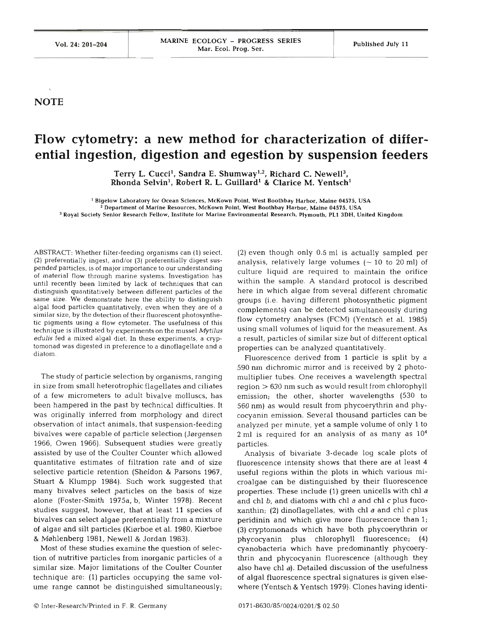## **NOTE**

## **Flow cytometry: a new method for characterization of differential ingestion, digestion and egestion by suspension feeders**

Terry L. Cucci<sup>1</sup>, Sandra E. Shumway<sup>1,2</sup>, Richard C. Newell<sup>3</sup>, Rhonda Selvin<sup>1</sup>, Robert R. L. Guillard<sup>1</sup> & Clarice M. Yentsch<sup>1</sup>

**Bigelow Laboratory for Ocean Sciences, McKown Point. West Boothbay Harbor, Maine 04575, USA** ' **Department of Marine Resources. McKown Point, West Boothbay Harbor. Maine 04575. USA**  " **Royal Society Senior Research Fellow. Institute for Marine Environmental Research. Plymouth. PLl 3DH, United Kingdom** 

ABSTRACT: Whether filter-feeding organisms can (1) select, (2) preferentially ingest, and/or **(3)** preferentially digest suspended particles, is of major importance to our understanding of material flow through marine systems. Investigation has until recently been limited by lack of techniques that can distinguish quantitatively between different particles of the same size. We demonstrate here the ability to distinguish algal food particles quantitatively, even when they are of a similar size, by the detection of their fluorescent photosynthetic pigments using a flow cytometer. The usefulness of this technique is illustrated by experiments on the mussel **Mytilus edulis** fed a mixed algal diet. In these experiments, a cryptomonad was digested in preference to a dinoflagellate and a diatom.

The study of particle selection by organisms, ranging in size from small heterotrophic flagellates and ciliates of a few micrometers to adult bivalve molluscs, has been hampered in the past by technical difficulties. It was originally inferred from morphology and direct observation of intact animals, that suspension-feeding bivalves were capable of particle selection (Jørgensen 1966, Owen 1966). Subsequent studies were greatly assisted by use of the Coulter Counter which allowed quantitative estimates of filtration rate and of size selective particle retention (Sheldon & Parsons 1967, Stuart & Klumpp 1984). Such work suggested that many bivalves select particles on the basis of size alone (Foster-Smith 1975a, b, Winter 1978). Recent studies suggest, however, that at least 11 species of bivalves can select algae preferentially from a mixture of algae and silt particles (Kiørboe et al. 1980, Kiørboe & Mehlenberg 1981, Newel1 & Jordan 1983).

Most of these studies examine the question of selection of nutritive particles from inorganic particles of a similar size. Major limitations of the Coulter Counter technique are: (1) particles occupying the same volume range cannot be distinguished simultaneously; (2) even though only 0.5 m1 is actually sampled per analysis, relatively large volumes  $(-10 \text{ to } 20 \text{ ml})$  of culture liquid are required to maintain the orifice within the sample. A standard protocol is described here in which algae from several different chromatic groups (i.e. having different photosynthetic pigment complements) can be detected simultaneously during flow cytometry analyses (FCM) (Yentsch et al. 1985) using small volumes of liquid for the measurement. As a result, particles of similar size but of different optical properties can be analyzed quantitatively.

Fluorescence derived from 1 particle is split by a 590 nrn dichromic mirror and is received by **2** photomultiplier tubes. One receives a wavelength spectral region > 630 nm such as would result from chlorophyll emission; the other, shorter wavelengths (530 to 560 nm) as would result from phycoerythrin and phycocyanin emission. Several thousand particles can be analyzed per minute, yet a sample volume of only 1 to 2 ml is required for an analysis of as many as  $10^4$ particles.

Analysis of bivariate 3-decade log scale plots of fluorescence intensity shows that there are at least 4 useful regions within the plots in which various microalgae can be distinguished by their fluorescence properties. These include (1) green unicells with chl a and chl  $b$ , and diatoms with chl  $a$  and chl  $c$  plus fucoxanthin; (2) dinoflagellates, with chl  $a$  and chl  $c$  plus peridinin and which give more fluorescence than 1; (3) cryptornonads which have both phycoerythrin or phycocyanin plus chlorophyll fluorescence; (4) cyanobacteria which have predominantly phycoerythrin and phycocyanin fluorescence (although they also have chl a). Detailed discussion of the usefulness of algal fluorescence spectral signatures is given elsewhere (Yentsch & Yentsch 1979). Clones having identi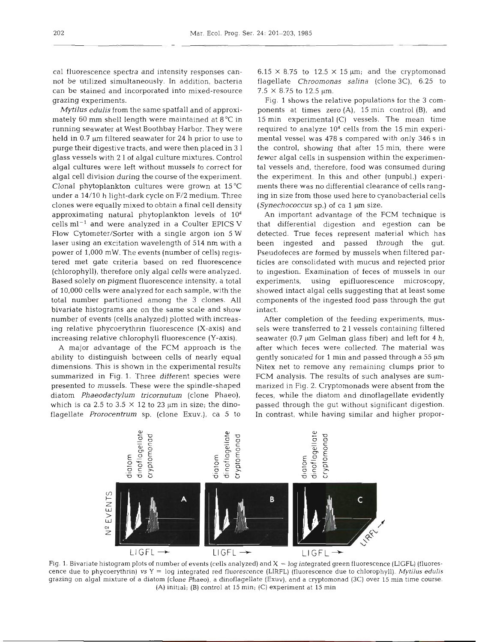cal fluorescence spectra and intensity responses cannot be utilized simultaneously. In addition, bacteria can be stained and incorporated into mixed-resource grazing experiments.

Mytilus edulis from the same spatfall and of approximately 60 mm shell length were maintained at 8°C in running seawater at West Boothbay Harbor. They were held in  $0.7 \mu m$  filtered seawater for 24 h prior to use to purge their digestive tracts, and were then placed in 3 1 glass vessels with 2 1 of algal culture mixtures. Control algal cultures were left without mussels to correct for algal cell division during the course of the experiment. Clonal phytoplankton cultures were grown at 15 'C under a 14/10 h light-dark cycle on **F/2** medium. Three clones were equally mixed to obtain a final cell density approximating natural phytoplankton levels of 104 cells  $ml^{-1}$  and were analyzed in a Coulter EPICS V Flow Cytometer/Sorter with a single argon ion 5 W laser using an excitation wavelength of 514 nm with a power of 1,000 mW. The events (number of cells) registered met gate criteria based on red fluorescence (chlorophyll), therefore only algal cells were analyzed. Based solely on pigment fluorescence intensity, a total of 10,000 cells were analyzed for each sample, with the total number partitioned among the 3 clones. All bivariate histograms are on the same scale and show number of events (cells analyzed) plotted with increasing relative phycoerythrin fluorescence (X-axis) and increasing relative chlorophyll fluorescence (Y-axis).

A major advantage of the FCM approach is the ability to distinguish between cells of nearly equal dimensions. This is shown in the experimental results summarized in Fig. **1.** Three different species were presented to mussels. These were the spindle-shaped diatom Phaeodactylum tricornutum (clone Phaeo), which is ca 2.5 to 3.5  $\times$  12 to 23 µm in size; the dinoflagellate Prorocentrum sp. (clone Exuv.), ca 5 to

 $6.15 \times 8.75$  to  $12.5 \times 15 \mu m$ ; and the cryptomonad flagellate Chroomonas salina (clone *3C),* 6.25 to  $7.5 \times 8.75$  to 12.5  $\mu$ m.

Fig. 1 shows the relative populations for the 3 components at times zero (A), 15 min control (B), and 15 min experimental (C) vessels. The mean time required to analyze 104 cells from the 15 min experimental vessel was 478 s compared with only 346 s in the control, showing that after 15 min, there were fewer algal cells in suspension within the experimental vessels and, therefore, food was consumed during the experiment. In this and other (unpubl.) experiments there was no differential clearance of cells ranging in size from those used here to cyanobacterial cells (Synechococcus sp.) of ca  $1 \mu m$  size.

An important advantage of the FCM technique is that differential digestion and egestion can be detected. True feces represent material which has been ingested and passed through the gut. Pseudofeces are formed by mussels when filtered particles are consolidated with mucus and rejected prior to ingestion. Examination of feces of mussels in our experiments, using epifluorescence microscopy, showed intact algal cells suggesting that at least some components of the ingested food pass through the gut intact.

After completion of the feeding experiments, mussels were transferred to 2 l vessels containing filtered seawater (0.7  $\mu$ m Gelman glass fiber) and left for 4 h, after which feces were collected. The material was gently sonicated for 1 min and passed through a  $55 \mu m$ Nitex net to remove any remaining clumps prior to FCM analysis. The results of such analyses are summarized in Fig. 2. Cryptomonads were absent from the feces, while the diatom and dinoflagellate evidently passed through the gut without significant digestion. In contrast, while having similar and higher propor-



Fig. 1. Bivariate histogram plots of number of events (cells analyzed) and X = log integrated green fluorescence (LIGFL) (fluorescence due to phycoerythrin) vs Y = log integrated red fluorescence (LIRFL) (fluorescence due to chlorophyll). **Mytilus edulis**  grazing on algal mixture of a diatom (clone Phaeo), a dinoflagellate (Exuv), and a cryptomonad (3C) over 15 min time course. (A) initial; (B) control at 15 min; (C) experiment at 15 min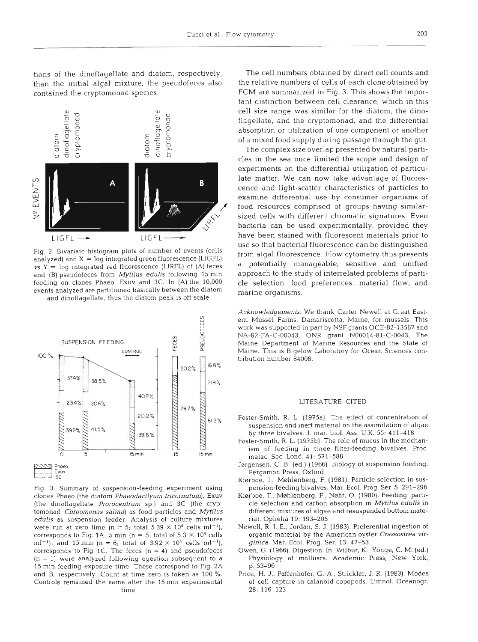tions of the dinoflagellate and diatom, respectively, than the initial algal mixture, the pseudofeces also contained the cryptomonad species.



Fig. 2. Bivariate histogram plots of number of events (cells analyzed) and  $X = log$  integrated green fluorescence (LIGFL)  $vs Y = log$  integrated red fluorescence (LIRFL) of (A) feces and (B) pseudofeces from Mytilus edulis following 15 min feeding on clones Phaeo, Exuv and 3C. In (A) the 10,000 events analyzed are partitioned basically between the diatom

and dinoflagellate, thus the diatom peak is off scale



Fig. 3. Summary of suspension-feeding experiment using clones Phaeo (the diatom Phaeodactlyum tricornutum), Exuv (the dinoflagellate Prorocentrum sp.) and 3C (the cryptomonad Chroomonas salina) as food particles and Mytilus edulis as suspension feeder. Analysis of culture mixtures were run at zero time (n = 5; total  $5.39 \times 10^4$  cells ml<sup>-1</sup>), corresponds to Fig. 1A; 5 min (n = 5; total of  $5.3 \times 10^4$  cells ml<sup>-1</sup>); and 15 min (n = 6; total of  $3.92 \times 10^4$  cells ml<sup>-1</sup>), corresponds to Fig. 1C. The feces  $(n = 4)$  and pseudofeces  $(n = 1)$  were analyzed following egestion subsequent to a 15 min feeding exposure time These correspond to Fig. 2A and B, respectively. Count at time zero is taken as 100 %. Controls remained the same after the 15 min experimental time

The cell numbers obtained by direct cell counts and the relative numbers of cells of each clone obtained by FCM are summarized in Fig. 3. This shows the important distinction between cell clearance, which in this cell size range was similar for the diatom, the dinoflagellate, and the cryptomonad, and the differential absorption or utilization of one component or another of a mixed food supply during passage through the gut.

The complex size overlap presented by natural particles in the sea once limited the scope and design of experiments on the differential utilization of particulate matter. We can now take advantage of fluorescence and light-scatter characteristics of particles to examine differential use by consumer organisms of food resources comprised of groups having similarsized cells with different chromatic signatures. Even bacteria can be used experimentally, provided they have been stained with fluorescent materials prior to use so that bacterial fluorescence can be distinguished from algal fluorescence. Flow cytometry thus presents a potentially manageable, sensitive and unified approach to the study of interrelated problems of particle selection, food preferences, material flow, and marine organisms.

Acknowledgements. We thank Carter Newell at Great Eastern Mussel Farms, Damariscotta, Maine, for mussels. This work was supported in part by NSF grants OCE-82.13567 and NA-82-FA-C-00043, ONR grant N00014-81-C-0043, The Maine Department of Marine Resources and the State of Maine. This is Bigelow Laboratory for Ocean Sciences contribution number 84008.

## LITERATURE CITED

- Foster-Smith. R. L. (1975a). The effect of concentration of suspension and inert material on the assimilation of algae by three bivalves. J. mar. biol. Ass. U.K.  $55: 411-418$
- Foster-Smith, R. L. (1975b). The role of mucus in the mechanism of feeding in three filter-feeding bivalves. Proc. malac Soc. Lond. 41: 571-588
- Jergensen, C. B. (ed.) (1966). Biology of suspension feeding. Pergamon Press, Oxford
- Kiørboe, T., Møhlenberg, F. (1981). Particle selection in suspension-feeding bivalves. Mar. Ecol. Prog. Ser. 5: 291-296
- Kiørboe, T., Møhlenberg, F., Nøhr, O. (1980). Feeding, particle selection and carbon absorption in Mytilus edulis in different mixtures of algae and resuspended bottom material. Ophelia 19: 193-205
- Newell, R. I. E., Jordan, S. J. (1983). Preferential ingestion of organic material by the American oyster Crassostrea virginica. Mar. Ecol. Prog. Ser. 13: 47-53
- Owen, G. (1966). Digestion. In: Wilbur, K., Yonge, C. M. (ed.) Physiology of molluscs. Academic Press, New York, p. 53-96
- Price, H. J., Paffenhofer, G.-A, Strickler, J. R. (1983). Modes of cell capture in calanoid copepods. Limnol. Oceanogr. 28: 116-123